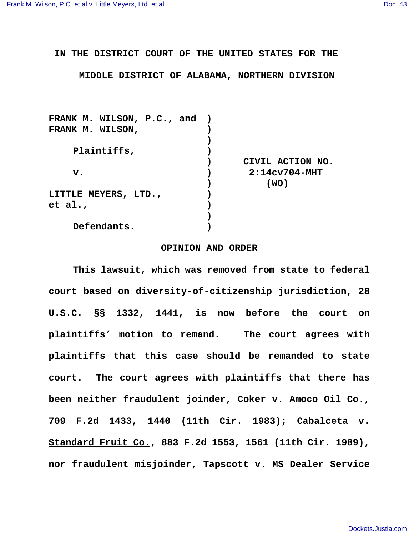## **IN THE DISTRICT COURT OF THE UNITED STATES FOR THE**

## **MIDDLE DISTRICT OF ALABAMA, NORTHERN DIVISION**

| CIVIL ACTION NO.           |
|----------------------------|
| $2:14c$ v704-MHT           |
| (WO)                       |
|                            |
|                            |
|                            |
|                            |
| FRANK M. WILSON, P.C., and |

## **OPINION AND ORDER**

**This lawsuit, which was removed from state to federal court based on diversity-of-citizenship jurisdiction, 28 U.S.C. §§ 1332, 1441, is now before the court on plaintiffs' motion to remand. The court agrees with plaintiffs that this case should be remanded to state court. The court agrees with plaintiffs that there has been neither fraudulent joinder, Coker v. Amoco Oil Co., 709 F.2d 1433, 1440 (11th Cir. 1983); Cabalceta v. Standard Fruit Co., 883 F.2d 1553, 1561 (11th Cir. 1989), nor fraudulent misjoinder, Tapscott v. MS Dealer Service**